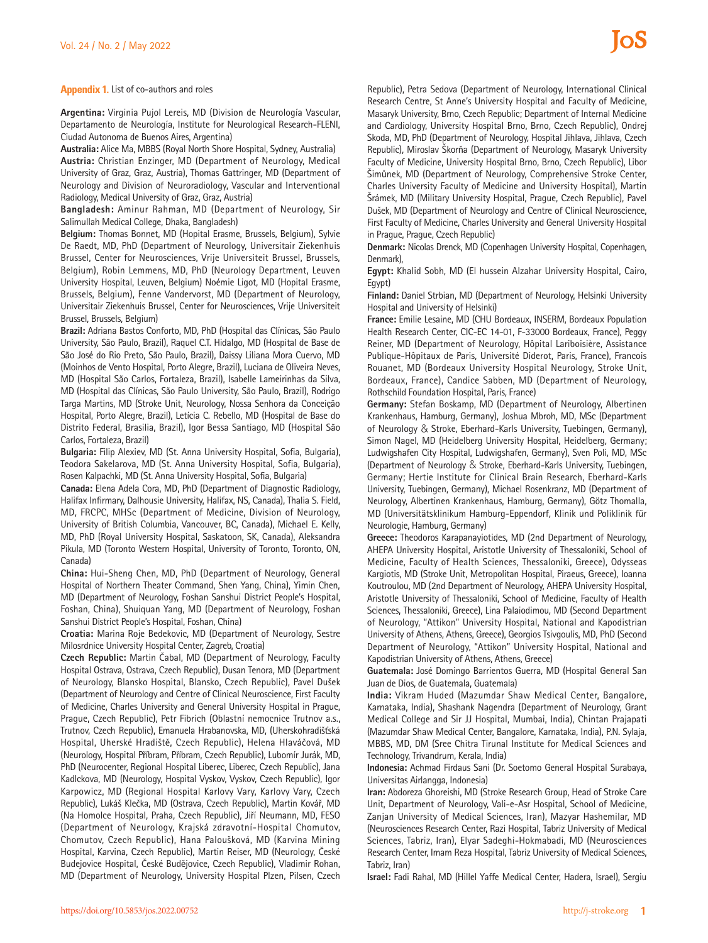**Appendix 1.** List of co-authors and roles

**Argentina:** Virginia Pujol Lereis, MD (Division de Neurología Vascular, Departamento de Neurología, Institute for Neurological Research-FLENI, Ciudad Autonoma de Buenos Aires, Argentina)

**Australia:** Alice Ma, MBBS (Royal North Shore Hospital, Sydney, Australia) **Austria:** Christian Enzinger, MD (Department of Neurology, Medical University of Graz, Graz, Austria), Thomas Gattringer, MD (Department of Neurology and Division of Neuroradiology, Vascular and Interventional Radiology, Medical University of Graz, Graz, Austria)

**Bangladesh:** Aminur Rahman, MD (Department of Neurology, Sir Salimullah Medical College, Dhaka, Bangladesh)

**Belgium:** Thomas Bonnet, MD (Hopital Erasme, Brussels, Belgium), Sylvie De Raedt, MD, PhD (Department of Neurology, Universitair Ziekenhuis Brussel, Center for Neurosciences, Vrije Universiteit Brussel, Brussels, Belgium), Robin Lemmens, MD, PhD (Neurology Department, Leuven University Hospital, Leuven, Belgium) Noémie Ligot, MD (Hopital Erasme, Brussels, Belgium), Fenne Vandervorst, MD (Department of Neurology, Universitair Ziekenhuis Brussel, Center for Neurosciences, Vrije Universiteit Brussel, Brussels, Belgium)

**Brazil:** Adriana Bastos Conforto, MD, PhD (Hospital das Clínicas, São Paulo University, São Paulo, Brazil), Raquel C.T. Hidalgo, MD (Hospital de Base de São José do Rio Preto, São Paulo, Brazil), Daissy Liliana Mora Cuervo, MD (Moinhos de Vento Hospital, Porto Alegre, Brazil), Luciana de Oliveira Neves, MD (Hospital São Carlos, Fortaleza, Brazil), Isabelle Lameirinhas da Silva, MD (Hospital das Clínicas, São Paulo University, São Paulo, Brazil), Rodrigo Targa Martins, MD (Stroke Unit, Neurology, Nossa Senhora da Conceição Hospital, Porto Alegre, Brazil), Letícia C. Rebello, MD (Hospital de Base do Distrito Federal, Brasilia, Brazil), Igor Bessa Santiago, MD (Hospital São Carlos, Fortaleza, Brazil)

**Bulgaria:** Filip Alexiev, MD (St. Anna University Hospital, Sofia, Bulgaria), Teodora Sakelarova, MD (St. Anna University Hospital, Sofia, Bulgaria), Rosen Kalpachki, MD (St. Anna University Hospital, Sofia, Bulgaria)

**Canada:** Elena Adela Cora, MD, PhD (Department of Diagnostic Radiology, Halifax Infirmary, Dalhousie University, Halifax, NS, Canada), Thalia S. Field, MD, FRCPC, MHSc (Department of Medicine, Division of Neurology, University of British Columbia, Vancouver, BC, Canada), Michael E. Kelly, MD, PhD (Royal University Hospital, Saskatoon, SK, Canada), Aleksandra Pikula, MD (Toronto Western Hospital, University of Toronto, Toronto, ON, Canada)

**China:** Hui-Sheng Chen, MD, PhD (Department of Neurology, General Hospital of Northern Theater Command, Shen Yang, China), Yimin Chen, MD (Department of Neurology, Foshan Sanshui District People's Hospital, Foshan, China), Shuiquan Yang, MD (Department of Neurology, Foshan Sanshui District People's Hospital, Foshan, China)

**Croatia:** Marina Roje Bedekovic, MD (Department of Neurology, Sestre Milosrdnice University Hospital Center, Zagreb, Croatia)

**Czech Republic:** Martin Čabal, MD (Department of Neurology, Faculty Hospital Ostrava, Ostrava, Czech Republic), Dusan Tenora, MD (Department of Neurology, Blansko Hospital, Blansko, Czech Republic), Pavel Dušek (Department of Neurology and Centre of Clinical Neuroscience, First Faculty of Medicine, Charles University and General University Hospital in Prague, Prague, Czech Republic), Petr Fibrich (Oblastní nemocnice Trutnov a.s., Trutnov, Czech Republic), Emanuela Hrabanovska, MD, (Uherskohradišťská Hospital, Uherské Hradiště, Czech Republic), Helena Hlaváčová, MD (Neurology, Hospital Příbram, Příbram, Czech Republic), Lubomír Jurák, MD, PhD (Neurocenter, Regional Hospital Liberec, Liberec, Czech Republic), Jana Kadlckova, MD (Neurology, Hospital Vyskov, Vyskov, Czech Republic), Igor Karpowicz, MD (Regional Hospital Karlovy Vary, Karlovy Vary, Czech Republic), Lukáš Klečka, MD (Ostrava, Czech Republic), Martin Kovář, MD (Na Homolce Hospital, Praha, Czech Republic), Jiří Neumann, MD, FESO (Department of Neurology, Krajská zdravotní-Hospital Chomutov, Chomutov, Czech Republic), Hana Paloušková, MD (Karvina Mining Hospital, Karvina, Czech Republic), Martin Reiser, MD (Neurology, České Budejovice Hospital, České Budějovice, Czech Republic), Vladimir Rohan, MD (Department of Neurology, University Hospital Plzen, Pilsen, Czech

Republic), Petra Sedova (Department of Neurology, International Clinical Research Centre, St Anne's University Hospital and Faculty of Medicine, Masaryk University, Brno, Czech Republic; Department of Internal Medicine and Cardiology, University Hospital Brno, Brno, Czech Republic), Ondrej Skoda, MD, PhD (Department of Neurology, Hospital Jihlava, Jihlava, Czech Republic), Miroslav Škorňa (Department of Neurology, Masaryk University Faculty of Medicine, University Hospital Brno, Brno, Czech Republic), Libor Šimůnek, MD (Department of Neurology, Comprehensive Stroke Center, Charles University Faculty of Medicine and University Hospital), Martin Šrámek, MD (Military University Hospital, Prague, Czech Republic), Pavel Dušek, MD (Department of Neurology and Centre of Clinical Neuroscience, First Faculty of Medicine, Charles University and General University Hospital in Prague, Prague, Czech Republic)

**Denmark:** Nicolas Drenck, MD (Copenhagen University Hospital, Copenhagen, Denmark),

**Egypt:** Khalid Sobh, MD (El hussein Alzahar University Hospital, Cairo, Egypt)

**Finland:** Daniel Strbian, MD (Department of Neurology, Helsinki University Hospital and University of Helsinki)

**France:** Emilie Lesaine, MD (CHU Bordeaux, INSERM, Bordeaux Population Health Research Center, CIC-EC 14-01, F-33000 Bordeaux, France), Peggy Reiner, MD (Department of Neurology, Hôpital Lariboisière, Assistance Publique-Hôpitaux de Paris, Université Diderot, Paris, France), Francois Rouanet, MD (Bordeaux University Hospital Neurology, Stroke Unit, Bordeaux, France), Candice Sabben, MD (Department of Neurology, Rothschild Foundation Hospital, Paris, France)

**Germany:** Stefan Boskamp, MD (Department of Neurology, Albertinen Krankenhaus, Hamburg, Germany), Joshua Mbroh, MD, MSc (Department of Neurology & Stroke, Eberhard-Karls University, Tuebingen, Germany), Simon Nagel, MD (Heidelberg University Hospital, Heidelberg, Germany; Ludwigshafen City Hospital, Ludwigshafen, Germany), Sven Poli, MD, MSc (Department of Neurology & Stroke, Eberhard-Karls University, Tuebingen, Germany; Hertie Institute for Clinical Brain Research, Eberhard-Karls University, Tuebingen, Germany), Michael Rosenkranz, MD (Department of Neurology, Albertinen Krankenhaus, Hamburg, Germany), Götz Thomalla, MD (Universitätsklinikum Hamburg-Eppendorf, Klinik und Poliklinik für Neurologie, Hamburg, Germany)

**Greece:** Theodoros Karapanayiotides, MD (2nd Department of Neurology, AHEPA University Hospital, Aristotle University of Thessaloniki, School of Medicine, Faculty of Health Sciences, Thessaloniki, Greece), Odysseas Kargiotis, MD (Stroke Unit, Metropolitan Hospital, Piraeus, Greece), Ioanna Koutroulou, MD (2nd Department of Neurology, AHEPA University Hospital, Aristotle University of Thessaloniki, School of Medicine, Faculty of Health Sciences, Thessaloniki, Greece), Lina Palaiodimou, MD (Second Department of Neurology, "Attikon" University Hospital, National and Kapodistrian University of Athens, Athens, Greece), Georgios Tsivgoulis, MD, PhD (Second Department of Neurology, "Attikon" University Hospital, National and Kapodistrian University of Athens, Athens, Greece)

**Guatemala:** José Domingo Barrientos Guerra, MD (Hospital General San Juan de Dios, de Guatemala, Guatemala)

**India:** Vikram Huded (Mazumdar Shaw Medical Center, Bangalore, Karnataka, India), Shashank Nagendra (Department of Neurology, Grant Medical College and Sir JJ Hospital, Mumbai, India), Chintan Prajapati (Mazumdar Shaw Medical Center, Bangalore, Karnataka, India), P.N. Sylaja, MBBS, MD, DM (Sree Chitra Tirunal Institute for Medical Sciences and Technology, Trivandrum, Kerala, India)

**Indonesia:** Achmad Firdaus Sani (Dr. Soetomo General Hospital Surabaya, Universitas Airlangga, Indonesia)

**Iran:** Abdoreza Ghoreishi, MD (Stroke Research Group, Head of Stroke Care Unit, Department of Neurology, Vali-e-Asr Hospital, School of Medicine, Zanjan University of Medical Sciences, Iran), Mazyar Hashemilar, MD (Neurosciences Research Center, Razi Hospital, Tabriz University of Medical Sciences, Tabriz, Iran), Elyar Sadeghi-Hokmabadi, MD (Neurosciences Research Center, Imam Reza Hospital, Tabriz University of Medical Sciences, Tabriz, Iran)

**Israel:** Fadi Rahal, MD (Hillel Yaffe Medical Center, Hadera, Israel), Sergiu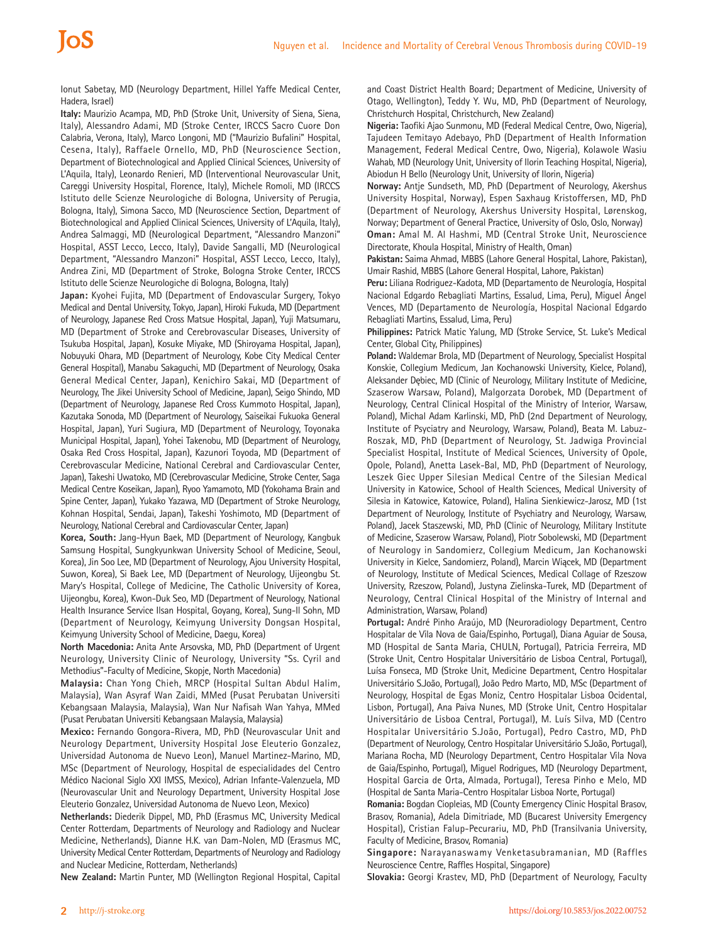Ionut Sabetay, MD (Neurology Department, Hillel Yaffe Medical Center, Hadera, Israel)

loS

**Italy:** Maurizio Acampa, MD, PhD (Stroke Unit, University of Siena, Siena, Italy), Alessandro Adami, MD (Stroke Center, IRCCS Sacro Cuore Don Calabria, Verona, Italy), Marco Longoni, MD ("Maurizio Bufalini" Hospital, Cesena, Italy), Raffaele Ornello, MD, PhD (Neuroscience Section, Department of Biotechnological and Applied Clinical Sciences, University of L'Aquila, Italy), Leonardo Renieri, MD (Interventional Neurovascular Unit, Careggi University Hospital, Florence, Italy), Michele Romoli, MD (IRCCS Istituto delle Scienze Neurologiche di Bologna, University of Perugia, Bologna, Italy), Simona Sacco, MD (Neuroscience Section, Department of Biotechnological and Applied Clinical Sciences, University of L'Aquila, Italy), Andrea Salmaggi, MD (Neurological Department, "Alessandro Manzoni" Hospital, ASST Lecco, Lecco, Italy), Davide Sangalli, MD (Neurological Department, "Alessandro Manzoni" Hospital, ASST Lecco, Lecco, Italy), Andrea Zini, MD (Department of Stroke, Bologna Stroke Center, IRCCS Istituto delle Scienze Neurologiche di Bologna, Bologna, Italy)

**Japan:** Kyohei Fujita, MD (Department of Endovascular Surgery, Tokyo Medical and Dental University, Tokyo, Japan), Hiroki Fukuda, MD (Department of Neurology, Japanese Red Cross Matsue Hospital, Japan), Yuji Matsumaru, MD (Department of Stroke and Cerebrovascular Diseases, University of Tsukuba Hospital, Japan), Kosuke Miyake, MD (Shiroyama Hospital, Japan), Nobuyuki Ohara, MD (Department of Neurology, Kobe City Medical Center General Hospital), Manabu Sakaguchi, MD (Department of Neurology, Osaka General Medical Center, Japan), Kenichiro Sakai, MD (Department of Neurology, The Jikei University School of Medicine, Japan), Seigo Shindo, MD (Department of Neurology, Japanese Red Cross Kummoto Hospital, Japan), Kazutaka Sonoda, MD (Department of Neurology, Saiseikai Fukuoka General Hospital, Japan), Yuri Sugiura, MD (Department of Neurology, Toyonaka Municipal Hospital, Japan), Yohei Takenobu, MD (Department of Neurology, Osaka Red Cross Hospital, Japan), Kazunori Toyoda, MD (Department of Cerebrovascular Medicine, National Cerebral and Cardiovascular Center, Japan), Takeshi Uwatoko, MD (Cerebrovascular Medicine, Stroke Center, Saga Medical Centre Koseikan, Japan), Ryoo Yamamoto, MD (Yokohama Brain and Spine Center, Japan), Yukako Yazawa, MD (Department of Stroke Neurology, Kohnan Hospital, Sendai, Japan), Takeshi Yoshimoto, MD (Department of Neurology, National Cerebral and Cardiovascular Center, Japan)

**Korea, South:** Jang-Hyun Baek, MD (Department of Neurology, Kangbuk Samsung Hospital, Sungkyunkwan University School of Medicine, Seoul, Korea), Jin Soo Lee, MD (Department of Neurology, Ajou University Hospital, Suwon, Korea), Si Baek Lee, MD (Department of Neurology, Uijeongbu St. Mary's Hospital, College of Medicine, The Catholic University of Korea, Uijeongbu, Korea), Kwon-Duk Seo, MD (Department of Neurology, National Health Insurance Service Ilsan Hospital, Goyang, Korea), Sung-Il Sohn, MD (Department of Neurology, Keimyung University Dongsan Hospital, Keimyung University School of Medicine, Daegu, Korea)

**North Macedonia:** Anita Ante Arsovska, MD, PhD (Department of Urgent Neurology, University Clinic of Neurology, University "Ss. Cyril and Methodius"-Faculty of Medicine, Skopje, North Macedonia)

**Malaysia:** Chan Yong Chieh, MRCP (Hospital Sultan Abdul Halim, Malaysia), Wan Asyraf Wan Zaidi, MMed (Pusat Perubatan Universiti Kebangsaan Malaysia, Malaysia), Wan Nur Nafisah Wan Yahya, MMed (Pusat Perubatan Universiti Kebangsaan Malaysia, Malaysia)

**Mexico:** Fernando Gongora-Rivera, MD, PhD (Neurovascular Unit and Neurology Department, University Hospital Jose Eleuterio Gonzalez, Universidad Autonoma de Nuevo Leon), Manuel Martinez-Marino, MD, MSc (Department of Neurology, Hospital de especialidades del Centro Médico Nacional Siglo XXI IMSS, Mexico), Adrian Infante-Valenzuela, MD (Neurovascular Unit and Neurology Department, University Hospital Jose Eleuterio Gonzalez, Universidad Autonoma de Nuevo Leon, Mexico)

**Netherlands:** Diederik Dippel, MD, PhD (Erasmus MC, University Medical Center Rotterdam, Departments of Neurology and Radiology and Nuclear Medicine, Netherlands), Dianne H.K. van Dam-Nolen, MD (Erasmus MC, University Medical Center Rotterdam, Departments of Neurology and Radiology and Nuclear Medicine, Rotterdam, Netherlands)

**New Zealand:** Martin Punter, MD (Wellington Regional Hospital, Capital

and Coast District Health Board; Department of Medicine, University of Otago, Wellington), Teddy Y. Wu, MD, PhD (Department of Neurology, Christchurch Hospital, Christchurch, New Zealand)

**Nigeria:** Taofiki Ajao Sunmonu, MD (Federal Medical Centre, Owo, Nigeria), Tajudeen Temitayo Adebayo, PhD (Department of Health Information Management, Federal Medical Centre, Owo, Nigeria), Kolawole Wasiu Wahab, MD (Neurology Unit, University of Ilorin Teaching Hospital, Nigeria), Abiodun H Bello (Neurology Unit, University of Ilorin, Nigeria)

**Norway:** Antje Sundseth, MD, PhD (Department of Neurology, Akershus University Hospital, Norway), Espen Saxhaug Kristoffersen, MD, PhD (Department of Neurology, Akershus University Hospital, Lørenskog, Norway; Department of General Practice, University of Oslo, Oslo, Norway) **Oman:** Amal M. Al Hashmi, MD (Central Stroke Unit, Neuroscience Directorate, Khoula Hospital, Ministry of Health, Oman)

**Pakistan:** Saima Ahmad, MBBS (Lahore General Hospital, Lahore, Pakistan), Umair Rashid, MBBS (Lahore General Hospital, Lahore, Pakistan)

**Peru:** Liliana Rodriguez-Kadota, MD (Departamento de Neurología, Hospital Nacional Edgardo Rebagliati Martins, Essalud, Lima, Peru), Miguel Ángel Vences, MD (Departamento de Neurología, Hospital Nacional Edgardo Rebagliati Martins, Essalud, Lima, Peru)

**Philippines:** Patrick Matic Yalung, MD (Stroke Service, St. Luke's Medical Center, Global City, Philippines)

**Poland:** Waldemar Brola, MD (Department of Neurology, Specialist Hospital Konskie, Collegium Medicum, Jan Kochanowski University, Kielce, Poland), Aleksander Dębiec, MD (Clinic of Neurology, Military Institute of Medicine, Szaserow Warsaw, Poland), Malgorzata Dorobek, MD (Department of Neurology, Central Clinical Hospital of the Ministry of Interior, Warsaw, Poland), Michal Adam Karlinski, MD, PhD (2nd Department of Neurology, Institute of Psyciatry and Neurology, Warsaw, Poland), Beata M. Labuz-Roszak, MD, PhD (Department of Neurology, St. Jadwiga Provincial Specialist Hospital, Institute of Medical Sciences, University of Opole, Opole, Poland), Anetta Lasek-Bal, MD, PhD (Department of Neurology, Leszek Giec Upper Silesian Medical Centre of the Silesian Medical University in Katowice, School of Health Sciences, Medical University of Silesia in Katowice, Katowice, Poland), Halina Sienkiewicz-Jarosz, MD (1st Department of Neurology, Institute of Psychiatry and Neurology, Warsaw, Poland), Jacek Staszewski, MD, PhD (Clinic of Neurology, Military Institute of Medicine, Szaserow Warsaw, Poland), Piotr Sobolewski, MD (Department of Neurology in Sandomierz, Collegium Medicum, Jan Kochanowski University in Kielce, Sandomierz, Poland), Marcin Wiącek, MD (Department of Neurology, Institute of Medical Sciences, Medical Collage of Rzeszow University, Rzeszow, Poland), Justyna Zielinska-Turek, MD (Department of Neurology, Central Clinical Hospital of the Ministry of Internal and Administration, Warsaw, Poland)

**Portugal:** André Pinho Araújo, MD (Neuroradiology Department, Centro Hospitalar de Vila Nova de Gaia/Espinho, Portugal), Diana Aguiar de Sousa, MD (Hospital de Santa Maria, CHULN, Portugal), Patricia Ferreira, MD (Stroke Unit, Centro Hospitalar Universitário de Lisboa Central, Portugal), Luísa Fonseca, MD (Stroke Unit, Medicine Department, Centro Hospitalar Universitário S.João, Portugal), João Pedro Marto, MD, MSc (Department of Neurology, Hospital de Egas Moniz, Centro Hospitalar Lisboa Ocidental, Lisbon, Portugal), Ana Paiva Nunes, MD (Stroke Unit, Centro Hospitalar Universitário de Lisboa Central, Portugal), M. Luís Silva, MD (Centro Hospitalar Universitário S.João, Portugal), Pedro Castro, MD, PhD (Department of Neurology, Centro Hospitalar Universitário S.João, Portugal), Mariana Rocha, MD (Neurology Department, Centro Hospitalar Vila Nova de Gaia/Espinho, Portugal), Miguel Rodrigues, MD (Neurology Department, Hospital Garcia de Orta, Almada, Portugal), Teresa Pinho e Melo, MD (Hospital de Santa Maria-Centro Hospitalar Lisboa Norte, Portugal)

**Romania:** Bogdan Ciopleias, MD (County Emergency Clinic Hospital Brasov, Brasov, Romania), Adela Dimitriade, MD (Bucarest University Emergency Hospital), Cristian Falup-Pecurariu, MD, PhD (Transilvania University, Faculty of Medicine, Brasov, Romania)

**Singapore:** Narayanaswamy Venketasubramanian, MD (Raffles Neuroscience Centre, Raffles Hospital, Singapore)

**Slovakia:** Georgi Krastev, MD, PhD (Department of Neurology, Faculty